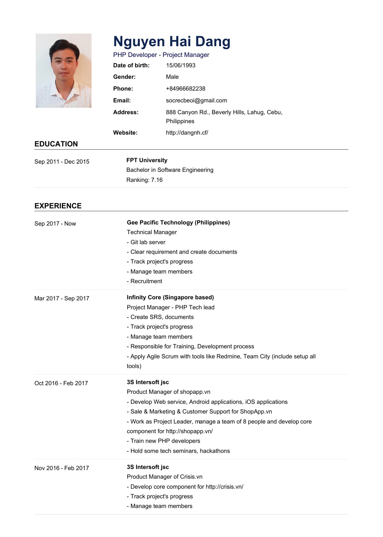

# **Nguyen Hai Dang**

| PHP Developer - Project Manager |                                                                   |
|---------------------------------|-------------------------------------------------------------------|
| Date of birth:                  | 15/06/1993                                                        |
| Gender:                         | Male                                                              |
| Phone:                          | +84966682238                                                      |
| Email:                          | socrecbeoi@gmail.com                                              |
| <b>Address:</b>                 | 888 Canyon Rd., Beverly Hills, Lahug, Cebu,<br><b>Philippines</b> |
| <b>Website:</b>                 | http://dangnh.cf/                                                 |

## **EDUCATION**

| Sep 2011 - Dec 2015 | <b>FPT University</b>            |
|---------------------|----------------------------------|
|                     | Bachelor in Software Engineering |
|                     | Ranking: 7.16                    |

## **EXPERIENCE**

| Sep 2017 - Now      | <b>Gee Pacific Technology (Philippines)</b><br><b>Technical Manager</b><br>- Git lab server<br>- Clear requirement and create documents<br>- Track project's progress<br>- Manage team members<br>- Recruitment                                                                                                                                               |
|---------------------|---------------------------------------------------------------------------------------------------------------------------------------------------------------------------------------------------------------------------------------------------------------------------------------------------------------------------------------------------------------|
| Mar 2017 - Sep 2017 | <b>Infinity Core (Singapore based)</b><br>Project Manager - PHP Tech lead<br>- Create SRS, documents<br>- Track project's progress<br>- Manage team members<br>- Responsible for Training, Development process<br>- Apply Agile Scrum with tools like Redmine, Team City (include setup all<br>tools)                                                         |
| Oct 2016 - Feb 2017 | 3S Intersoft jsc<br>Product Manager of shopapp.vn<br>- Develop Web service, Android applications, iOS applications<br>- Sale & Marketing & Customer Support for ShopApp.vn<br>- Work as Project Leader, manage a team of 8 people and develop core<br>component for http://shopapp.vn/<br>- Train new PHP developers<br>- Hold some tech seminars, hackathons |
| Nov 2016 - Feb 2017 | 3S Intersoft jsc<br>Product Manager of Crisis.vn<br>- Develop core component for http://crisis.vn/<br>- Track project's progress<br>- Manage team members                                                                                                                                                                                                     |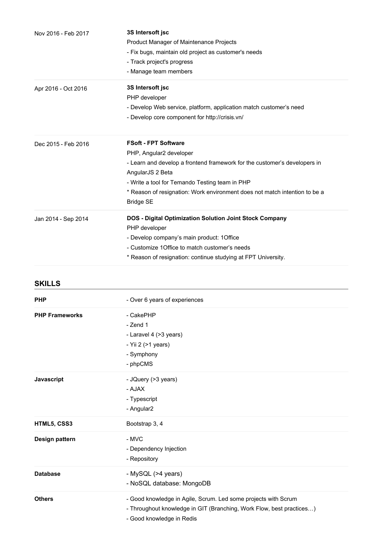| Nov 2016 - Feb 2017 | 3S Intersoft jsc<br><b>Product Manager of Maintenance Projects</b><br>- Fix bugs, maintain old project as customer's needs<br>- Track project's progress<br>- Manage team members                                                                                                                           |
|---------------------|-------------------------------------------------------------------------------------------------------------------------------------------------------------------------------------------------------------------------------------------------------------------------------------------------------------|
| Apr 2016 - Oct 2016 | 3S Intersoft jsc<br>PHP developer<br>- Develop Web service, platform, application match customer's need<br>- Develop core component for http://crisis.vn/                                                                                                                                                   |
| Dec 2015 - Feb 2016 | <b>FSoft - FPT Software</b><br>PHP, Angular2 developer<br>- Learn and develop a frontend framework for the customer's developers in<br>AngularJS 2 Beta<br>- Write a tool for Temando Testing team in PHP<br>* Reason of resignation: Work environment does not match intention to be a<br><b>Bridge SE</b> |
| Jan 2014 - Sep 2014 | <b>DOS - Digital Optimization Solution Joint Stock Company</b><br>PHP developer<br>- Develop company's main product: 1Office<br>- Customize 1 Office to match customer's needs<br>* Reason of resignation: continue studying at FPT University.                                                             |

| <b>SKILLS</b>         |                                                                                                   |
|-----------------------|---------------------------------------------------------------------------------------------------|
| <b>PHP</b>            | - Over 6 years of experiences                                                                     |
| <b>PHP Frameworks</b> | - CakePHP                                                                                         |
|                       | - Zend 1                                                                                          |
|                       | - Laravel 4 (>3 years)                                                                            |
|                       | - Yii 2 (>1 years)                                                                                |
|                       | - Symphony                                                                                        |
|                       | - phpCMS                                                                                          |
| Javascript            | - JQuery (>3 years)                                                                               |
|                       | - AJAX                                                                                            |
|                       | - Typescript                                                                                      |
|                       | - Angular2                                                                                        |
| HTML5, CSS3           | Bootstrap 3, 4                                                                                    |
| Design pattern        | - MVC                                                                                             |
|                       | - Dependency Injection                                                                            |
|                       | - Repository                                                                                      |
| <b>Database</b>       | - MySQL (>4 years)                                                                                |
|                       | - NoSQL database: MongoDB                                                                         |
| <b>Others</b>         | - Good knowledge in Agile, Scrum. Led some projects with Scrum                                    |
|                       | - Throughout knowledge in GIT (Branching, Work Flow, best practices)<br>- Good knowledge in Redis |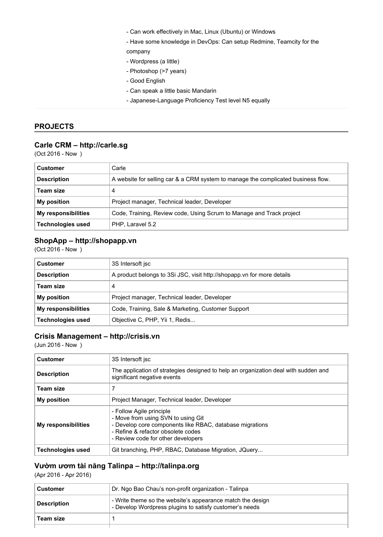- Can work effectively in Mac, Linux (Ubuntu) or Windows
- Have some knowledge in DevOps: Can setup Redmine, Teamcity for the company
- Wordpress (a little)
- Photoshop (>7 years)
- Good English
- Can speak a little basic Mandarin
- Japanese-Language Proficiency Test level N5 equally

#### **PROJECTS**

#### **Carle CRM – http://carle.sg**

(Oct 2016 - Now )

| <b>Customer</b>            | Carle                                                                             |
|----------------------------|-----------------------------------------------------------------------------------|
| <b>Description</b>         | A website for selling car & a CRM system to manage the complicated business flow. |
| Team size                  | 4                                                                                 |
| <b>My position</b>         | Project manager, Technical leader, Developer                                      |
| <b>My responsibilities</b> | Code, Training, Review code, Using Scrum to Manage and Track project              |
| <b>Technologies used</b>   | PHP, Laravel 5.2                                                                  |

#### **ShopApp – http://shopapp.vn**

(Oct 2016 - Now )

| <b>Customer</b>          | 3S Intersoft isc                                                       |
|--------------------------|------------------------------------------------------------------------|
| <b>Description</b>       | A product belongs to 3Si JSC, visit http://shopapp.vn for more details |
| Team size                | 4                                                                      |
| <b>My position</b>       | Project manager, Technical leader, Developer                           |
| My responsibilities      | Code, Training, Sale & Marketing, Customer Support                     |
| <b>Technologies used</b> | Objective C, PHP, Yii 1, Redis                                         |

#### **Crisis Management – http://crisis.vn**

(Jun 2016 - Now )

| <b>Customer</b>          | 3S Intersoft isc                                                                                                                                                                                       |
|--------------------------|--------------------------------------------------------------------------------------------------------------------------------------------------------------------------------------------------------|
| <b>Description</b>       | The application of strategies designed to help an organization deal with sudden and<br>significant negative events                                                                                     |
| <b>Team size</b>         | 7                                                                                                                                                                                                      |
| <b>My position</b>       | Project Manager, Technical leader, Developer                                                                                                                                                           |
| My responsibilities      | - Follow Agile principle<br>- Move from using SVN to using Git<br>- Develop core components like RBAC, database migrations<br>- Refine & refactor obsolete codes<br>- Review code for other developers |
| <b>Technologies used</b> | Git branching, PHP, RBAC, Database Migration, JQuery                                                                                                                                                   |

#### **Vườm ươm tài năng Talinpa – http://talinpa.org**

(Apr 2016 - Apr 2016)

| Customer           | Dr. Ngo Bao Chau's non-profit organization - Talinpa                                                                  |
|--------------------|-----------------------------------------------------------------------------------------------------------------------|
| <b>Description</b> | - Write theme so the website's appearance match the design<br>- Develop Wordpress plugins to satisfy customer's needs |
| Team size          |                                                                                                                       |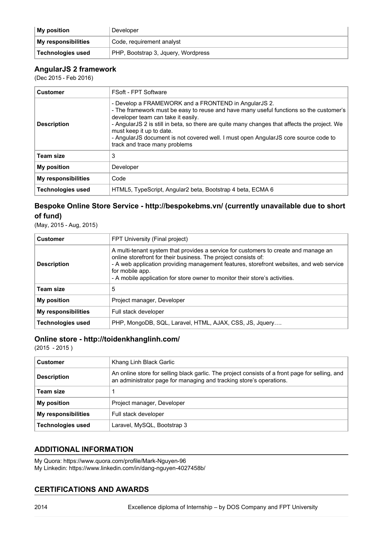| <b>My position</b>  | Developer                           |
|---------------------|-------------------------------------|
| My responsibilities | Code, requirement analyst           |
| Technologies used   | PHP, Bootstrap 3, Jquery, Wordpress |

#### **AngularJS 2 framework**

(Dec 2015 - Feb 2016)

| <b>Customer</b>            | <b>FSoft - FPT Software</b>                                                                                                                                                                                                                                                                                                                                                                                                              |
|----------------------------|------------------------------------------------------------------------------------------------------------------------------------------------------------------------------------------------------------------------------------------------------------------------------------------------------------------------------------------------------------------------------------------------------------------------------------------|
| <b>Description</b>         | - Develop a FRAMEWORK and a FRONTEND in AngularJS 2.<br>- The framework must be easy to reuse and have many useful functions so the customer's<br>developer team can take it easily.<br>- AngularJS 2 is still in beta, so there are quite many changes that affects the project. We<br>must keep it up to date.<br>- AngularJS document is not covered well. I must open AngularJS core source code to<br>track and trace many problems |
| <b>Team size</b>           | 3                                                                                                                                                                                                                                                                                                                                                                                                                                        |
| <b>My position</b>         | Developer                                                                                                                                                                                                                                                                                                                                                                                                                                |
| <b>My responsibilities</b> | Code                                                                                                                                                                                                                                                                                                                                                                                                                                     |
| <b>Technologies used</b>   | HTML5, TypeScript, Angular2 beta, Bootstrap 4 beta, ECMA 6                                                                                                                                                                                                                                                                                                                                                                               |

## **Bespoke Online Store Service - http://bespokebms.vn/ (currently unavailable due to short of fund)**

(May, 2015 - Aug, 2015)

| <b>Customer</b>            | FPT University (Final project)                                                                                                                                                                                                                                                                                                                     |
|----------------------------|----------------------------------------------------------------------------------------------------------------------------------------------------------------------------------------------------------------------------------------------------------------------------------------------------------------------------------------------------|
| <b>Description</b>         | A multi-tenant system that provides a service for customers to create and manage an<br>online storefront for their business. The project consists of:<br>- A web application providing management features, storefront websites, and web service<br>for mobile app.<br>- A mobile application for store owner to monitor their store's activities. |
| <b>Team size</b>           | 5                                                                                                                                                                                                                                                                                                                                                  |
| <b>My position</b>         | Project manager, Developer                                                                                                                                                                                                                                                                                                                         |
| <b>My responsibilities</b> | Full stack developer                                                                                                                                                                                                                                                                                                                               |
| <b>Technologies used</b>   | PHP, MongoDB, SQL, Laravel, HTML, AJAX, CSS, JS, Jquery                                                                                                                                                                                                                                                                                            |

## **Online store - http://toidenkhanglinh.com/**

 $(2015 - 2015)$ 

| <b>Customer</b>            | Khang Linh Black Garlic                                                                                                                                                |
|----------------------------|------------------------------------------------------------------------------------------------------------------------------------------------------------------------|
| <b>Description</b>         | An online store for selling black garlic. The project consists of a front page for selling, and<br>an administrator page for managing and tracking store's operations. |
| Team size                  |                                                                                                                                                                        |
| <b>My position</b>         | Project manager, Developer                                                                                                                                             |
| <b>My responsibilities</b> | Full stack developer                                                                                                                                                   |
| <b>Technologies used</b>   | Laravel, MySQL, Bootstrap 3                                                                                                                                            |

#### **ADDITIONAL INFORMATION**

My Quora: https://www.quora.com/profile/Mark-Nguyen-96 My Linkedin: https://www.linkedin.com/in/dang-nguyen-4027458b/

## **CERTIFICATIONS AND AWARDS**